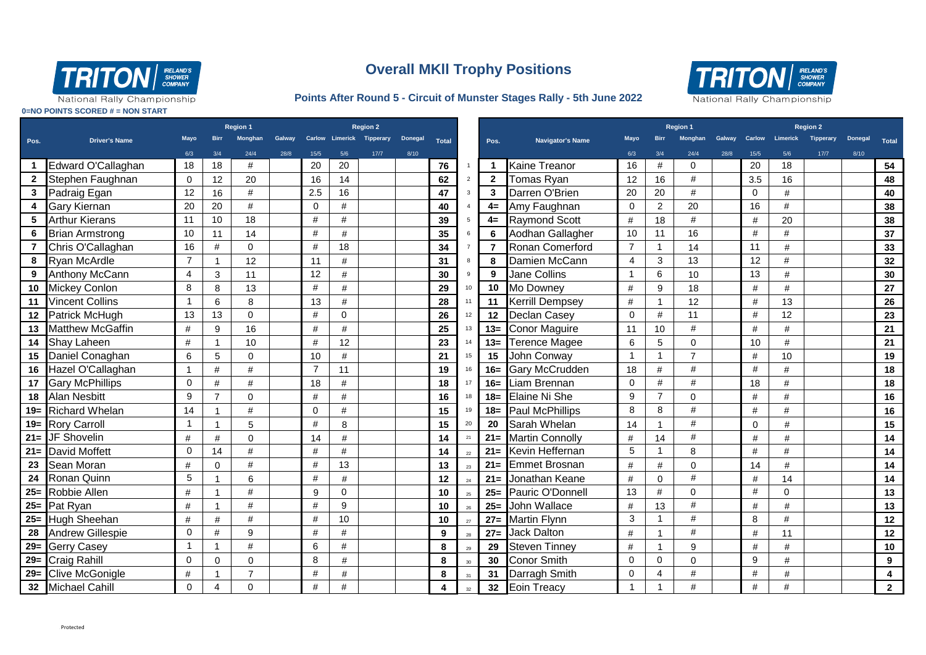

## **Overall MKll Trophy Positions**

## **Points After Round 5 - Circuit of Munster Stages Rally - 5th June 2022**



National Rally Championship

**0=NO POINTS SCORED # = NON START**

|                 |                                |                |                | <b>Region 1</b> |               | <b>Region 2</b> |             |                           |                |              |                |                 |                         | <b>Region 1</b> |                |                |      | <b>Region 2</b>  |                 |                  |                |              |
|-----------------|--------------------------------|----------------|----------------|-----------------|---------------|-----------------|-------------|---------------------------|----------------|--------------|----------------|-----------------|-------------------------|-----------------|----------------|----------------|------|------------------|-----------------|------------------|----------------|--------------|
| Pos.            | <b>Driver's Name</b>           | Mayo           | <b>Birr</b>    | Monghan         | <b>Galway</b> |                 |             | Carlow Limerick Tipperary | <b>Donegal</b> | <b>Total</b> |                | Pos.            | <b>Navigator's Name</b> | <b>Mavo</b>     | <b>Birr</b>    | Monghan        |      | Galway Carlow    | <b>Limerick</b> | <b>Tipperary</b> | <b>Donegal</b> | <b>Total</b> |
|                 |                                | 6/3            | 3/4            | 24/4            | 28/8          | 15/5            | 5/6         | $17/7$                    | 8/10           |              |                |                 |                         | 6/3             | 3/4            | 24/4           | 28/8 | 15/5             | 5/6             | 17/7             | 8/10           |              |
|                 | Edward O'Callaghan             | 18             | 18             | #               |               | 20              | 20          |                           |                | 76           |                | 1.              | Kaine Treanor           | 16              | #              | $\Omega$       |      | 20               | 18              |                  |                | 54           |
| $\mathbf{2}$    | Stephen Faughnan               | $\mathbf 0$    | 12             | 20              |               | 16              | 14          |                           |                | 62           | $\overline{2}$ | $\overline{2}$  | Tomas Ryan              | 12              | 16             | #              |      | 3.5              | 16              |                  |                | 48           |
| $\mathbf{3}$    | Padraig Egan                   | 12             | 16             | $\#$            |               | 2.5             | 16          |                           |                | 47           |                | $\mathbf{3}$    | Darren O'Brien          | 20              | 20             | #              |      | $\mathbf 0$      | #               |                  |                | 40           |
| 4               | <b>Gary Kiernan</b>            | 20             | 20             | #               |               | $\Omega$        | #           |                           |                | 40           |                | $4=$            | Amy Faughnan            | $\Omega$        | $\overline{c}$ | 20             |      | 16               | #               |                  |                | 38           |
| 5               | <b>Arthur Kierans</b>          | 11             | 10             | 18              |               | #               | #           |                           |                | 39           |                | $4=$            | <b>Raymond Scott</b>    | #               | 18             | #              |      | #                | 20              |                  |                | 38           |
| 6               | <b>Brian Armstrong</b>         | 10             | 11             | 14              |               | $\#$            | #           |                           |                | 35           |                | 6               | Aodhan Gallagher        | 10              | 11             | 16             |      | $\#$             | $\#$            |                  |                | 37           |
|                 | Chris O'Callaghan              | 16             | #              | $\mathbf 0$     |               | $\#$            | 18          |                           |                | 34           |                | 7               | Ronan Comerford         | $\overline{7}$  | $\overline{1}$ | 14             |      | 11               | #               |                  |                | 33           |
| 8               | <b>Ryan McArdle</b>            | $\overline{7}$ |                | 12              |               | 11              | #           |                           |                | 31           |                | 8               | Damien McCann           | 4               | 3              | 13             |      | 12               | #               |                  |                | 32           |
| 9               | <b>Anthony McCann</b>          | $\overline{4}$ | 3              | 11              |               | 12              | #           |                           |                | 30           |                | 9               | <b>Jane Collins</b>     | -1              | 6              | 10             |      | 13               | #               |                  |                | 30           |
| 10 <sup>1</sup> | <b>Mickey Conlon</b>           | 8              | 8              | 13              |               | #               | #           |                           |                | 29           | 10             | 10              | Mo Downey               | #               | 9              | 18             |      | #                | #               |                  |                | 27           |
|                 | 11 Vincent Collins             | $\mathbf{1}$   | 6              | 8               |               | 13              | $\#$        |                           |                | 28           |                | 11              | <b>Kerrill Dempsey</b>  | $\#$            | $\mathbf{1}$   | 12             |      | $\#$             | 13              |                  |                | 26           |
|                 | 12 Patrick McHugh              | 13             | 13             | $\Omega$        |               | #               | $\mathbf 0$ |                           |                | 26           |                | 12              | <b>Declan Casey</b>     | $\Omega$        | #              | 11             |      | #                | 12              |                  |                | 23           |
| 13              | <b>Matthew McGaffin</b>        | #              | 9              | 16              |               | $\#$            | #           |                           |                | 25           | 13             | $13 =$          | <b>Conor Maguire</b>    | 11              | 10             | $\#$           |      | #                | #               |                  |                | 21           |
| 14              | Shay Laheen                    | #              |                | 10              |               | $\#$            | 12          |                           |                | 23           |                | $13 =$          | Terence Magee           | 6               | 5              | $\mathbf 0$    |      | 10               | $\#$            |                  |                | 21           |
| 15              | Daniel Conaghan                | 6              | 5              | $\mathbf 0$     |               | 10              | #           |                           |                | 21           | 15             | 15              | John Conway             | -1              | $\mathbf 1$    | $\overline{7}$ |      | #                | 10              |                  |                | 19           |
| 16              | Hazel O'Callaghan              |                | #              | #               |               | $\overline{7}$  | 11          |                           |                | 19           | 16             | $16 =$          | Gary McCrudden          | 18              | #              | $\#$           |      | #                | #               |                  |                | 18           |
|                 | 17 Gary McPhillips             | $\Omega$       | #              | #               |               | 18              | #           |                           |                | 18           |                | $16 =$          | Liam Brennan            | $\Omega$        | #              | #              |      | 18               | #               |                  |                | 18           |
|                 | 18 Alan Nesbitt                | 9              | $\overline{7}$ | $\Omega$        |               | #               | #           |                           |                | 16           |                | $18 =$          | Elaine Ni She           | 9               | $\overline{7}$ | $\Omega$       |      | #                | #               |                  |                | 16           |
|                 | 19 Richard Whelan              | 14             |                | #               |               | $\mathbf 0$     | #           |                           |                | 15           |                | $18 =$          | Paul McPhillips         | 8               | 8              | $\#$           |      | #                | $\#$            |                  |                | 16           |
|                 | 19= Rory Carroll               | $\mathbf{1}$   | $\overline{1}$ | 5               |               | #               | 8           |                           |                | 15           | 20             | 20              | Sarah Whelan            | 14              |                | #              |      | $\mathbf 0$      | #               |                  |                | 15           |
|                 | 21= JF Shovelin                | #              | #              | $\mathbf 0$     |               | 14              | #           |                           |                | 14           | 21             | $21 =$          | <b>Martin Connolly</b>  | #               | 14             | #              |      | $\#$             | $\#$            |                  |                | 14           |
| $21 =$          | <b>David Moffett</b>           | $\mathbf 0$    | 14             | #               |               | #               | #           |                           |                | 14           | 22             | $21 =$          | Kevin Heffernan         | 5               | 1              | 8              |      | #                | #               |                  |                | 14           |
| 23              | Sean Moran                     | #              | $\mathbf 0$    | #               |               | $\#$            | 13          |                           |                | 13           | 23             | $21 =$          | <b>Emmet Brosnan</b>    | #               | #              | $\mathbf 0$    |      | 14               | #               |                  |                | 14           |
| 24              | Ronan Quinn                    | 5              |                | 6               |               | #               | $\#$        |                           |                | 12           | 24             | $21 =$          | Jonathan Keane          | #               | $\Omega$       | #              |      | #                | 14              |                  |                | 14           |
|                 | 25= Robbie Allen               | #              | -1             | $\#$            |               | 9               | $\mathbf 0$ |                           |                | 10           | 25             | $25=$           | Pauric O'Donnell        | 13              | #              | $\mathbf{0}$   |      | #                | $\Omega$        |                  |                | 13           |
|                 | $25 =$ Pat Ryan                | #              |                | #               |               | #               | 9           |                           |                | 10           | 26             | $25=$           | John Wallace            | #               | 13             | #              |      | #                | #               |                  |                | 13           |
|                 | 25= Hugh Sheehan               | $\#$           | $\#$           | #               |               | $\#$            | 10          |                           |                | 10           | 27             | $27=$           | <b>Martin Flynn</b>     | 3               | $\mathbf{1}$   | $\#$           |      | 8                | #               |                  |                | 12           |
| 28              | <b>Andrew Gillespie</b>        | $\mathbf 0$    | #              | 9               |               | #               | #           |                           |                | 9            | 28             | $27=$           | <b>Jack Dalton</b>      | #               | 1              | $\#$           |      | #                | 11              |                  |                | 12           |
| $29=$           | <b>Gerry Casey</b>             | $\overline{1}$ | -1             | #               |               | 6               | #           |                           |                | 8            | 29             | 29              | <b>Steven Tinney</b>    | #               | 1              | 9              |      | #                | #               |                  |                | 10           |
|                 | $\overline{29}$ = Craig Rahill | $\mathbf 0$    | $\mathbf 0$    | $\mathbf 0$     |               | 8               | $\#$        |                           |                | 8            | 30             | 30              | <b>Conor Smith</b>      | $\Omega$        | $\Omega$       | $\mathbf 0$    |      | $\boldsymbol{9}$ | $\#$            |                  |                | 9            |
|                 | 29= Clive McGonigle            | #              |                | $\overline{7}$  |               | #               | $\#$        |                           |                | 8            |                | 31              | Darragh Smith           | $\mathbf 0$     | 4              | #              |      | #                | #               |                  |                | 4            |
|                 | 32 Michael Cahill              | $\Omega$       | 4              | $\Omega$        |               | #               | #           |                           |                | 4            | 32             | 32 <sub>2</sub> | Eoin Treacy             |                 |                | #              |      | #                | #               |                  |                | $\mathbf{2}$ |